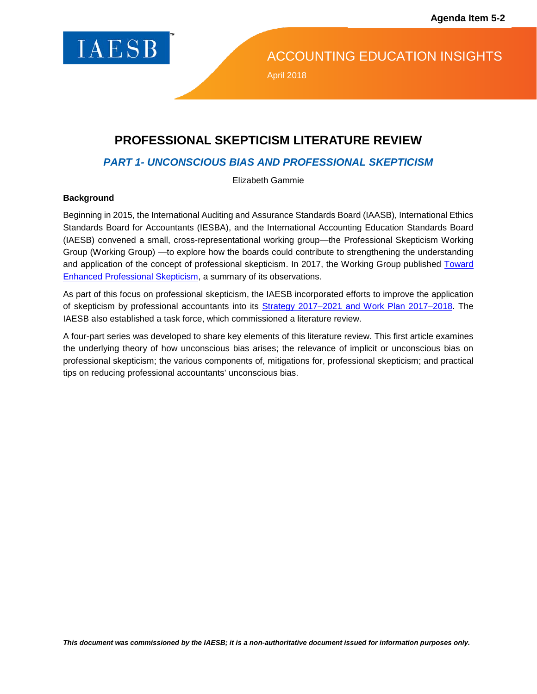

ACCOUNTING EDUCATION INSIGHTS

April 2018

# **PROFESSIONAL SKEPTICISM LITERATURE REVIEW**

## *PART 1- UNCONSCIOUS BIAS AND PROFESSIONAL SKEPTICISM*

Elizabeth Gammie

#### **Background**

Beginning in 2015, the International Auditing and Assurance Standards Board (IAASB), International Ethics Standards Board for Accountants (IESBA), and the International Accounting Education Standards Board (IAESB) convened a small, cross-representational working group—the Professional Skepticism Working Group (Working Group) —to explore how the boards could contribute to strengthening the understanding and application of the concept of professional skepticism. In 2017, the Working Group published Toward [Enhanced Professional Skepticism,](http://www.ifac.org/publications-resources/toward-enhanced-professional-skepticism) a summary of its observations.

As part of this focus on professional skepticism, the IAESB incorporated efforts to improve the application of skepticism by professional accountants into its [Strategy 2017–2021 and Work Plan 2017–2018.](https://www.ifac.org/publications-resources/iaesb-strategy-2017-2021-and-work-plan-2017-2018) The IAESB also established a task force, which commissioned a literature review.

A four-part series was developed to share key elements of this literature review. This first article examines the underlying theory of how unconscious bias arises; the relevance of implicit or unconscious bias on professional skepticism; the various components of, mitigations for, professional skepticism; and practical tips on reducing professional accountants' unconscious bias.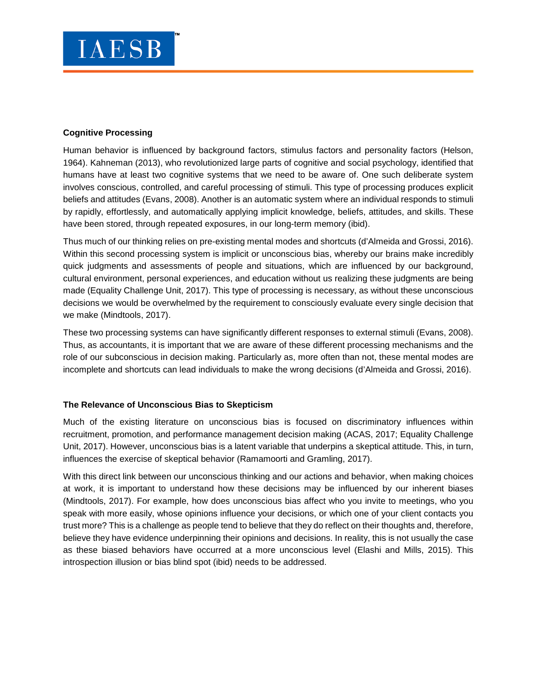### **Cognitive Processing**

Human behavior is influenced by background factors, stimulus factors and personality factors (Helson, 1964). Kahneman (2013), who revolutionized large parts of cognitive and social psychology, identified that humans have at least two cognitive systems that we need to be aware of. One such deliberate system involves conscious, controlled, and careful processing of stimuli. This type of processing produces explicit beliefs and attitudes (Evans, 2008). Another is an automatic system where an individual responds to stimuli by rapidly, effortlessly, and automatically applying implicit knowledge, beliefs, attitudes, and skills. These have been stored, through repeated exposures, in our long-term memory (ibid).

Thus much of our thinking relies on pre-existing mental modes and shortcuts (d'Almeida and Grossi, 2016). Within this second processing system is implicit or unconscious bias, whereby our brains make incredibly quick judgments and assessments of people and situations, which are influenced by our background, cultural environment, personal experiences, and education without us realizing these judgments are being made (Equality Challenge Unit, 2017). This type of processing is necessary, as without these unconscious decisions we would be overwhelmed by the requirement to consciously evaluate every single decision that we make (Mindtools, 2017).

These two processing systems can have significantly different responses to external stimuli (Evans, 2008). Thus, as accountants, it is important that we are aware of these different processing mechanisms and the role of our subconscious in decision making. Particularly as, more often than not, these mental modes are incomplete and shortcuts can lead individuals to make the wrong decisions (d'Almeida and Grossi, 2016).

#### **The Relevance of Unconscious Bias to Skepticism**

Much of the existing literature on unconscious bias is focused on discriminatory influences within recruitment, promotion, and performance management decision making (ACAS, 2017; Equality Challenge Unit, 2017). However, unconscious bias is a latent variable that underpins a skeptical attitude. This, in turn, influences the exercise of skeptical behavior (Ramamoorti and Gramling, 2017).

With this direct link between our unconscious thinking and our actions and behavior, when making choices at work, it is important to understand how these decisions may be influenced by our inherent biases (Mindtools, 2017). For example, how does unconscious bias affect who you invite to meetings, who you speak with more easily, whose opinions influence your decisions, or which one of your client contacts you trust more? This is a challenge as people tend to believe that they do reflect on their thoughts and, therefore, believe they have evidence underpinning their opinions and decisions. In reality, this is not usually the case as these biased behaviors have occurred at a more unconscious level (Elashi and Mills, 2015). This introspection illusion or bias blind spot (ibid) needs to be addressed.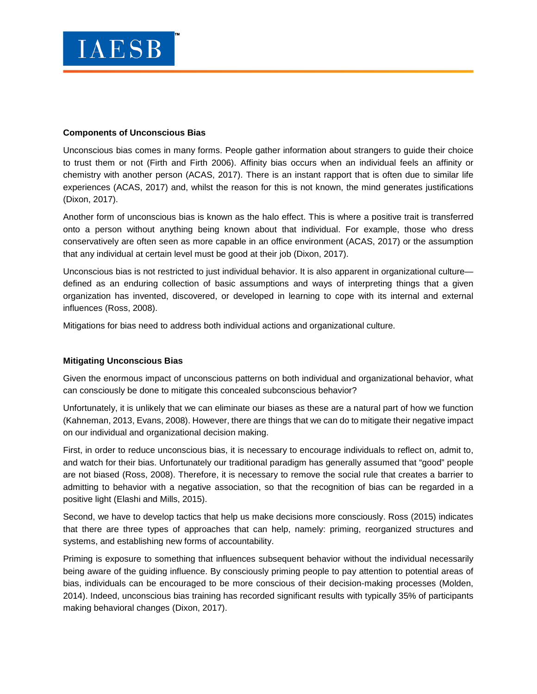#### **Components of Unconscious Bias**

Unconscious bias comes in many forms. People gather information about strangers to guide their choice to trust them or not (Firth and Firth 2006). Affinity bias occurs when an individual feels an affinity or chemistry with another person (ACAS, 2017). There is an instant rapport that is often due to similar life experiences (ACAS, 2017) and, whilst the reason for this is not known, the mind generates justifications (Dixon, 2017).

Another form of unconscious bias is known as the halo effect. This is where a positive trait is transferred onto a person without anything being known about that individual. For example, those who dress conservatively are often seen as more capable in an office environment (ACAS, 2017) or the assumption that any individual at certain level must be good at their job (Dixon, 2017).

Unconscious bias is not restricted to just individual behavior. It is also apparent in organizational culture defined as an enduring collection of basic assumptions and ways of interpreting things that a given organization has invented, discovered, or developed in learning to cope with its internal and external influences (Ross, 2008).

Mitigations for bias need to address both individual actions and organizational culture.

## **Mitigating Unconscious Bias**

Given the enormous impact of unconscious patterns on both individual and organizational behavior, what can consciously be done to mitigate this concealed subconscious behavior?

Unfortunately, it is unlikely that we can eliminate our biases as these are a natural part of how we function (Kahneman, 2013, Evans, 2008). However, there are things that we can do to mitigate their negative impact on our individual and organizational decision making.

First, in order to reduce unconscious bias, it is necessary to encourage individuals to reflect on, admit to, and watch for their bias. Unfortunately our traditional paradigm has generally assumed that "good" people are not biased (Ross, 2008). Therefore, it is necessary to remove the social rule that creates a barrier to admitting to behavior with a negative association, so that the recognition of bias can be regarded in a positive light (Elashi and Mills, 2015).

Second, we have to develop tactics that help us make decisions more consciously. Ross (2015) indicates that there are three types of approaches that can help, namely: priming, reorganized structures and systems, and establishing new forms of accountability.

Priming is exposure to something that influences subsequent behavior without the individual necessarily being aware of the guiding influence. By consciously priming people to pay attention to potential areas of bias, individuals can be encouraged to be more conscious of their decision-making processes (Molden, 2014). Indeed, unconscious bias training has recorded significant results with typically 35% of participants making behavioral changes (Dixon, 2017).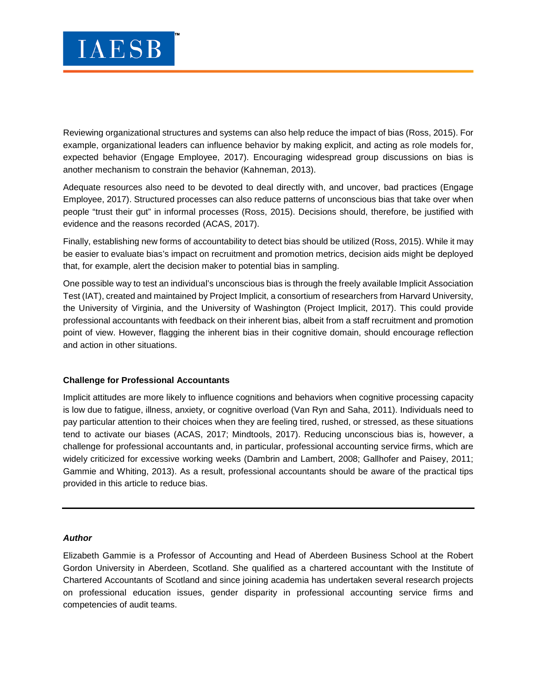Reviewing organizational structures and systems can also help reduce the impact of bias (Ross, 2015). For example, organizational leaders can influence behavior by making explicit, and acting as role models for, expected behavior (Engage Employee, 2017). Encouraging widespread group discussions on bias is another mechanism to constrain the behavior (Kahneman, 2013).

Adequate resources also need to be devoted to deal directly with, and uncover, bad practices (Engage Employee, 2017). Structured processes can also reduce patterns of unconscious bias that take over when people "trust their gut" in informal processes (Ross, 2015). Decisions should, therefore, be justified with evidence and the reasons recorded (ACAS, 2017).

Finally, establishing new forms of accountability to detect bias should be utilized (Ross, 2015). While it may be easier to evaluate bias's impact on recruitment and promotion metrics, decision aids might be deployed that, for example, alert the decision maker to potential bias in sampling.

One possible way to test an individual's unconscious bias is through the freely available Implicit Association Test (IAT), created and maintained by Project Implicit, a consortium of researchers from Harvard University, the University of Virginia, and the University of Washington (Project Implicit, 2017). This could provide professional accountants with feedback on their inherent bias, albeit from a staff recruitment and promotion point of view. However, flagging the inherent bias in their cognitive domain, should encourage reflection and action in other situations.

#### **Challenge for Professional Accountants**

Implicit attitudes are more likely to influence cognitions and behaviors when cognitive processing capacity is low due to fatigue, illness, anxiety, or cognitive overload (Van Ryn and Saha, 2011). Individuals need to pay particular attention to their choices when they are feeling tired, rushed, or stressed, as these situations tend to activate our biases (ACAS, 2017; Mindtools, 2017). Reducing unconscious bias is, however, a challenge for professional accountants and, in particular, professional accounting service firms, which are widely criticized for excessive working weeks (Dambrin and Lambert, 2008; Gallhofer and Paisey, 2011; Gammie and Whiting, 2013). As a result, professional accountants should be aware of the practical tips provided in this article to reduce bias.

#### *Author*

Elizabeth Gammie is a Professor of Accounting and Head of Aberdeen Business School at the Robert Gordon University in Aberdeen, Scotland. She qualified as a chartered accountant with the Institute of Chartered Accountants of Scotland and since joining academia has undertaken several research projects on professional education issues, gender disparity in professional accounting service firms and competencies of audit teams.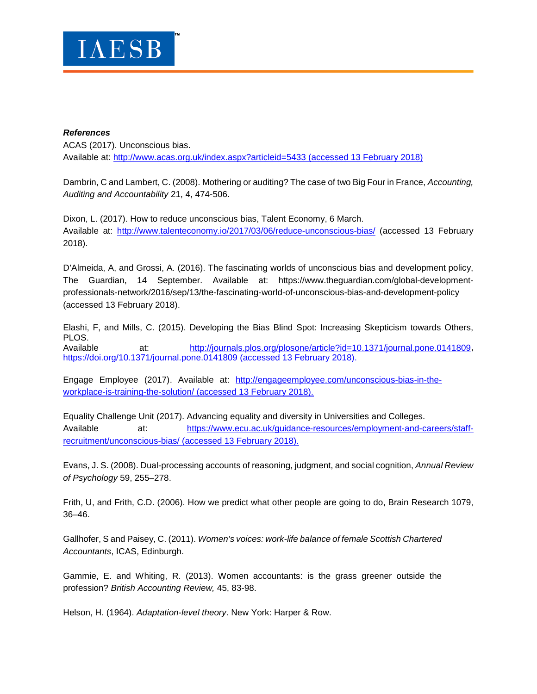

#### *References*

ACAS (2017). Unconscious bias. Available at:<http://www.acas.org.uk/index.aspx?articleid=5433> (accessed 13 February 2018)

Dambrin, C and Lambert, C. (2008). Mothering or auditing? The case of two Big Four in France, *Accounting, Auditing and Accountability* 21, 4, 474-506.

Dixon, L. (2017). How to reduce unconscious bias, Talent Economy, 6 March. Available at:<http://www.talenteconomy.io/2017/03/06/reduce-unconscious-bias/> (accessed 13 February 2018).

D'Almeida, A, and Grossi, A. (2016). The fascinating worlds of unconscious bias and development policy, The Guardian, 14 September. Available at: https://www.theguardian.com/global-developmentprofessionals-network/2016/sep/13/the-fascinating-world-of-unconscious-bias-and-development-policy (accessed 13 February 2018).

Elashi, F, and Mills, C. (2015). Developing the Bias Blind Spot: Increasing Skepticism towards Others, PLOS. Available at: [http://journals.plos.org/plosone/article?id=10.1371/journal.pone.0141809,](http://journals.plos.org/plosone/article?id=10.1371/journal.pone.0141809) <https://doi.org/10.1371/journal.pone.0141809> (accessed 13 February 2018).

Engage Employee (2017). Available at: [http://engageemployee.com/unconscious-bias-in-the](http://engageemployee.com/unconscious-bias-in-the-workplace-is-training-the-solution/)[workplace-is-training-the-solution/](http://engageemployee.com/unconscious-bias-in-the-workplace-is-training-the-solution/) (accessed 13 February 2018).

Equality Challenge Unit (2017). Advancing equality and diversity in Universities and Colleges. Available at: [https://www.ecu.ac.uk/guidance-resources/employment-and-careers/staff](https://www.ecu.ac.uk/guidance-resources/employment-and-careers/staff-recruitment/unconscious-bias/)[recruitment/unconscious-bias/](https://www.ecu.ac.uk/guidance-resources/employment-and-careers/staff-recruitment/unconscious-bias/) (accessed 13 February 2018).

Evans, J. S. (2008). Dual-processing accounts of reasoning, judgment, and social cognition, *Annual Review of Psychology* 59, 255–278.

Frith, U, and Frith, C.D. (2006). How we predict what other people are going to do, Brain Research 1079, 36–46.

Gallhofer, S and Paisey, C. (2011). *Women's voices: work-life balance of female Scottish Chartered Accountants*, ICAS, Edinburgh.

Gammie, E. and Whiting, R. (2013). Women accountants: is the grass greener outside the profession? *British Accounting Review,* 45, 83-98.

Helson, H. (1964). *Adaptation-level theory*. New York: Harper & Row.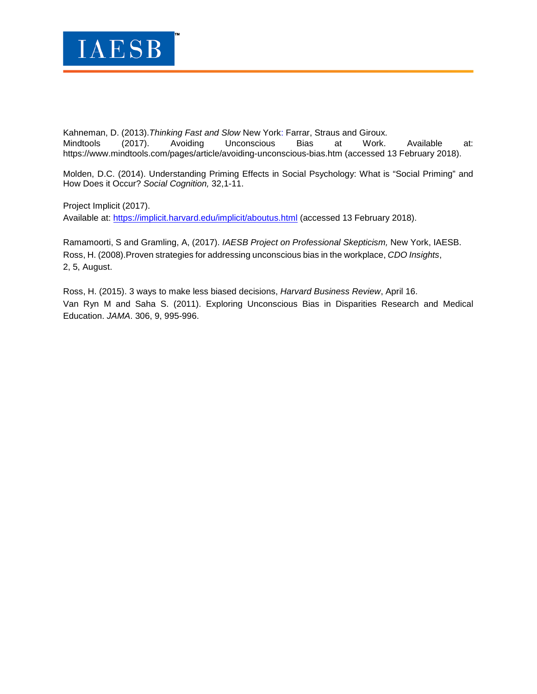

Kahneman, D. (2013).*Thinking Fast and Slow* New York: Farrar, Straus and Giroux*.* Mindtools (2017). Avoiding Unconscious Bias at Work. Available at: <https://www.mindtools.com/pages/article/avoiding-unconscious-bias.htm> (accessed 13 February 2018).

Molden, D.C. (2014). Understanding Priming Effects in Social Psychology: What is "Social Priming" and How Does it Occur? *Social Cognition,* 32,1-11.

Project Implicit (2017). Available at:<https://implicit.harvard.edu/implicit/aboutus.html> (accessed 13 February 2018).

Ramamoorti, S and Gramling, A, (2017). *IAESB Project on Professional Skepticism,* New York, IAESB. Ross, H. (2008).Proven strategies for addressing unconscious bias in the workplace, *CDO Insights*, 2, 5, August.

Ross, H. (2015). 3 ways to make less biased decisions, *Harvard Business Review*, April 16. Van Ryn M and Saha S. (2011). Exploring Unconscious Bias in Disparities Research and Medical Education. *JAMA*. 306, 9, 995-996.